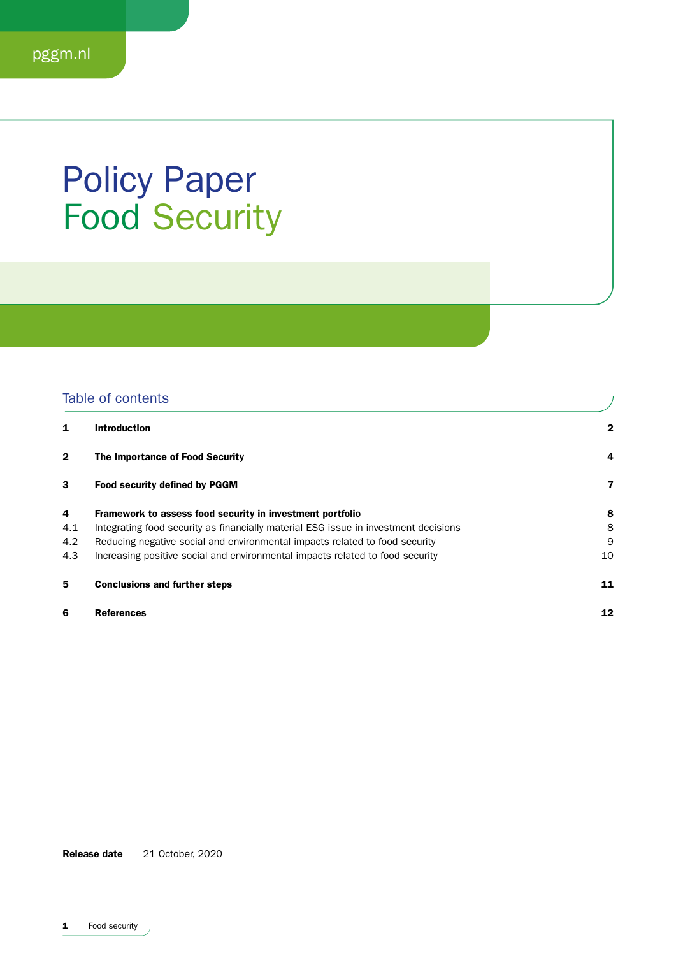### Policy Paper Food Security

### Table of contents

| 1              | <b>Introduction</b>                                                                 | $\mathbf{2}$ |
|----------------|-------------------------------------------------------------------------------------|--------------|
| $\overline{2}$ | The Importance of Food Security                                                     | 4            |
| 3              | <b>Food security defined by PGGM</b>                                                | 7            |
| 4              | Framework to assess food security in investment portfolio                           | 8            |
| 4.1            | Integrating food security as financially material ESG issue in investment decisions | 8            |
| 4.2            | Reducing negative social and environmental impacts related to food security         | 9            |
| 4.3            | Increasing positive social and environmental impacts related to food security       | 10           |
| 5              | <b>Conclusions and further steps</b>                                                | 11           |
| 6              | <b>References</b>                                                                   | 12           |

Release date 21 October, 2020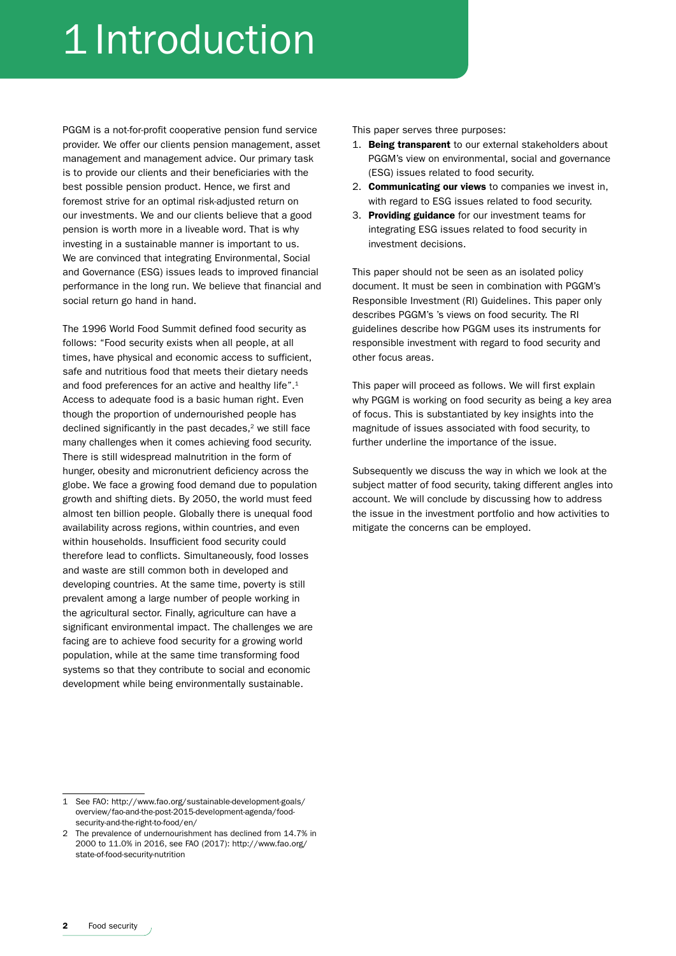# 1 Introduction

PGGM is a not-for-profit cooperative pension fund service provider. We offer our clients pension management, asset management and management advice. Our primary task is to provide our clients and their beneficiaries with the best possible pension product. Hence, we first and foremost strive for an optimal risk-adjusted return on our investments. We and our clients believe that a good pension is worth more in a liveable word. That is why investing in a sustainable manner is important to us. We are convinced that integrating Environmental, Social and Governance (ESG) issues leads to improved financial performance in the long run. We believe that financial and social return go hand in hand.

The 1996 World Food Summit defined food security as follows: "Food security exists when all people, at all times, have physical and economic access to sufficient, safe and nutritious food that meets their dietary needs and food preferences for an active and healthy life".<sup>1</sup> Access to adequate food is a basic human right. Even though the proportion of undernourished people has declined significantly in the past decades, $2$  we still face many challenges when it comes achieving food security. There is still widespread malnutrition in the form of hunger, obesity and micronutrient deficiency across the globe. We face a growing food demand due to population growth and shifting diets. By 2050, the world must feed almost ten billion people. Globally there is unequal food availability across regions, within countries, and even within households. Insufficient food security could therefore lead to conflicts. Simultaneously, food losses and waste are still common both in developed and developing countries. At the same time, poverty is still prevalent among a large number of people working in the agricultural sector. Finally, agriculture can have a significant environmental impact. The challenges we are facing are to achieve food security for a growing world population, while at the same time transforming food systems so that they contribute to social and economic development while being environmentally sustainable.

This paper serves three purposes:

- 1. Being transparent to our external stakeholders about PGGM's view on environmental, social and governance (ESG) issues related to food security.
- 2. Communicating our views to companies we invest in, with regard to ESG issues related to food security.
- 3. Providing guidance for our investment teams for integrating ESG issues related to food security in investment decisions.

This paper should not be seen as an isolated policy document. It must be seen in combination with PGGM's Responsible Investment (RI) Guidelines. This paper only describes PGGM's 's views on food security. The RI guidelines describe how PGGM uses its instruments for responsible investment with regard to food security and other focus areas.

This paper will proceed as follows. We will first explain why PGGM is working on food security as being a key area of focus. This is substantiated by key insights into the magnitude of issues associated with food security, to further underline the importance of the issue.

Subsequently we discuss the way in which we look at the subject matter of food security, taking different angles into account. We will conclude by discussing how to address the issue in the investment portfolio and how activities to mitigate the concerns can be employed.

<sup>1</sup> See FAO: http://www.fao.org/sustainable-development-goals/ overview/fao-and-the-post-2015-development-agenda/foodsecurity-and-the-right-to-food/en/

<sup>2</sup> The prevalence of undernourishment has declined from 14.7% in 2000 to 11.0% in 2016, see FAO (2017): http://www.fao.org/ state-of-food-security-nutrition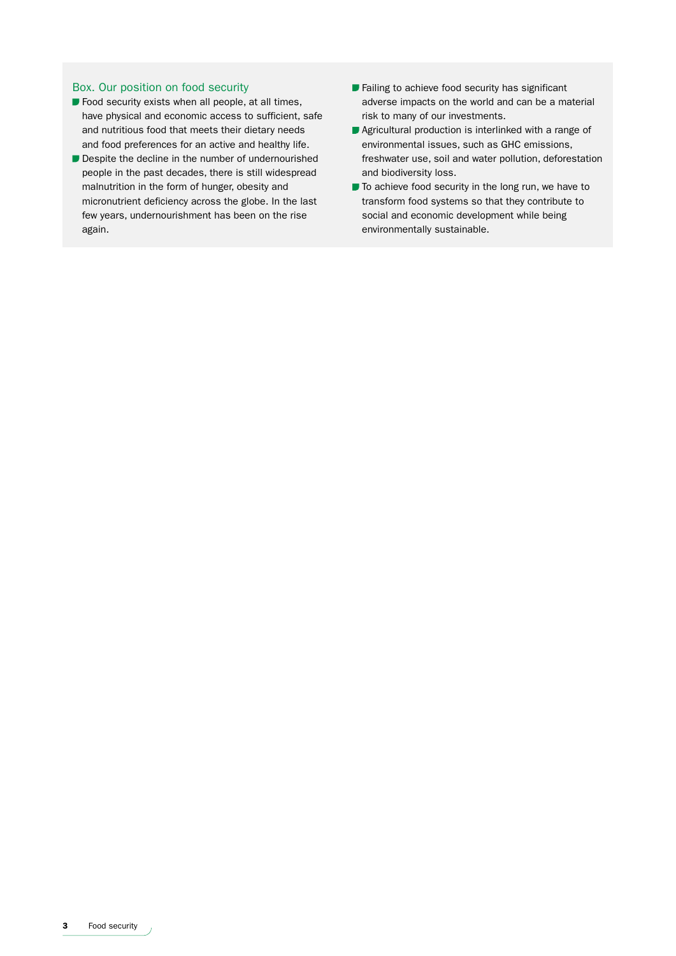#### Box. Our position on food security

- $\blacksquare$  Food security exists when all people, at all times, have physical and economic access to sufficient, safe and nutritious food that meets their dietary needs and food preferences for an active and healthy life.
- Despite the decline in the number of undernourished people in the past decades, there is still widespread malnutrition in the form of hunger, obesity and micronutrient deficiency across the globe. In the last few years, undernourishment has been on the rise again.
- **Failing to achieve food security has significant** adverse impacts on the world and can be a material risk to many of our investments.
- Agricultural production is interlinked with a range of environmental issues, such as GHC emissions, freshwater use, soil and water pollution, deforestation and biodiversity loss.
- $\blacksquare$  To achieve food security in the long run, we have to transform food systems so that they contribute to social and economic development while being environmentally sustainable.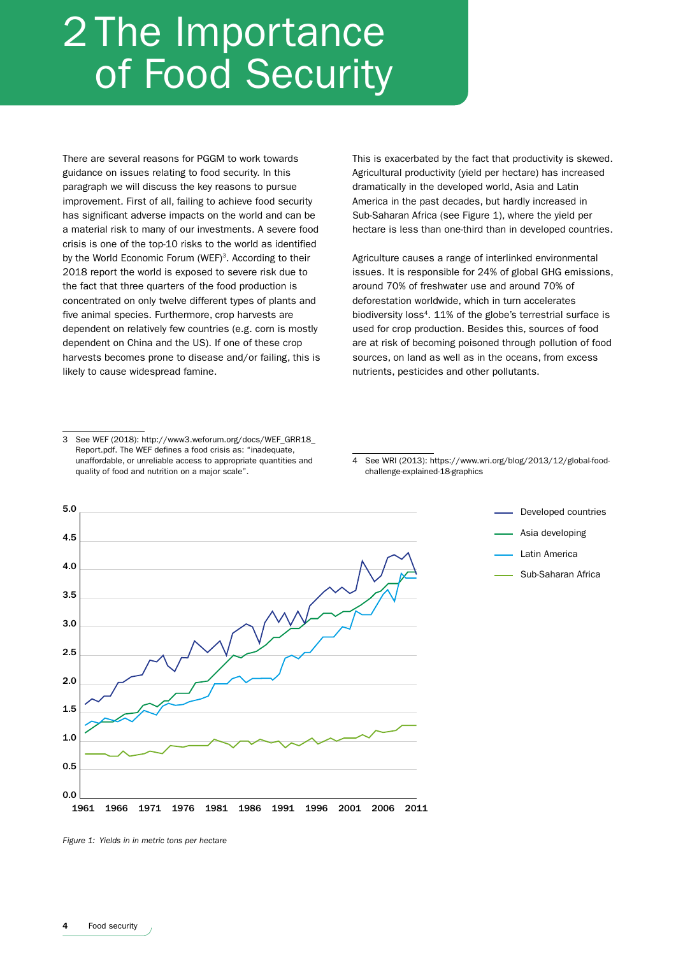## 2 The Importance of Food Security

There are several reasons for PGGM to work towards guidance on issues relating to food security. In this paragraph we will discuss the key reasons to pursue improvement. First of all, failing to achieve food security has significant adverse impacts on the world and can be a material risk to many of our investments. A severe food crisis is one of the top-10 risks to the world as identified by the World Economic Forum (WEF)<sup>3</sup>. According to their 2018 report the world is exposed to severe risk due to the fact that three quarters of the food production is concentrated on only twelve different types of plants and five animal species. Furthermore, crop harvests are dependent on relatively few countries (e.g. corn is mostly dependent on China and the US). If one of these crop harvests becomes prone to disease and/or failing, this is likely to cause widespread famine.

This is exacerbated by the fact that productivity is skewed. Agricultural productivity (yield per hectare) has increased dramatically in the developed world, Asia and Latin America in the past decades, but hardly increased in Sub-Saharan Africa (see Figure 1), where the yield per hectare is less than one-third than in developed countries.

Agriculture causes a range of interlinked environmental issues. It is responsible for 24% of global GHG emissions, around 70% of freshwater use and around 70% of deforestation worldwide, which in turn accelerates biodiversity loss<sup>4</sup>. 11% of the globe's terrestrial surface is used for crop production. Besides this, sources of food are at risk of becoming poisoned through pollution of food sources, on land as well as in the oceans, from excess nutrients, pesticides and other pollutants.

<sup>4</sup> See WRI (2013): https://www.wri.org/blog/2013/12/global-foodchallenge-explained-18-graphics



*Figure 1: Yields in in metric tons per hectare*

<sup>3</sup> See WEF (2018): http://www3.weforum.org/docs/WEF\_GRR18\_ Report.pdf. The WEF defines a food crisis as: "inadequate, unaffordable, or unreliable access to appropriate quantities and quality of food and nutrition on a major scale".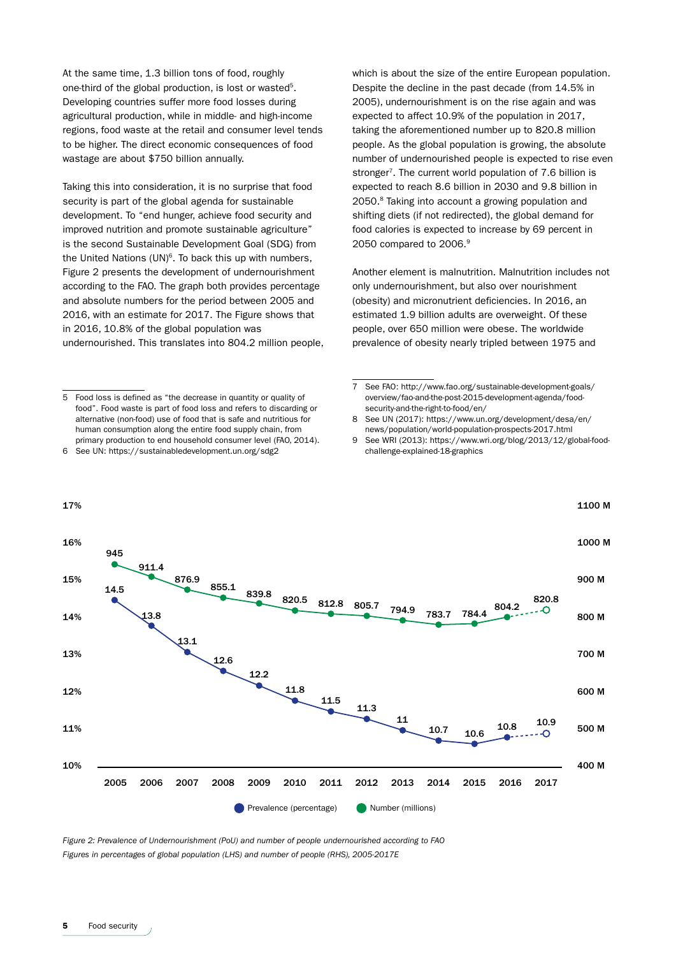At the same time, 1.3 billion tons of food, roughly one-third of the global production, is lost or wasted<sup>5</sup>. Developing countries suffer more food losses during agricultural production, while in middle- and high-income regions, food waste at the retail and consumer level tends to be higher. The direct economic consequences of food wastage are about \$750 billion annually.

Taking this into consideration, it is no surprise that food security is part of the global agenda for sustainable development. To "end hunger, achieve food security and improved nutrition and promote sustainable agriculture" is the second Sustainable Development Goal (SDG) from the United Nations  $(UN)^6$ . To back this up with numbers, Figure 2 presents the development of undernourishment according to the FAO. The graph both provides percentage and absolute numbers for the period between 2005 and 2016, with an estimate for 2017. The Figure shows that in 2016, 10.8% of the global population was undernourished. This translates into 804.2 million people, which is about the size of the entire European population. Despite the decline in the past decade (from 14.5% in 2005), undernourishment is on the rise again and was expected to affect 10.9% of the population in 2017, taking the aforementioned number up to 820.8 million people. As the global population is growing, the absolute number of undernourished people is expected to rise even stronger<sup>7</sup>. The current world population of 7.6 billion is expected to reach 8.6 billion in 2030 and 9.8 billion in 2050.8 Taking into account a growing population and shifting diets (if not redirected), the global demand for food calories is expected to increase by 69 percent in 2050 compared to 2006.9

Another element is malnutrition. Malnutrition includes not only undernourishment, but also over nourishment (obesity) and micronutrient deficiencies. In 2016, an estimated 1.9 billion adults are overweight. Of these people, over 650 million were obese. The worldwide prevalence of obesity nearly tripled between 1975 and

7 See FAO: http://www.fao.org/sustainable-development-goals/ overview/fao-and-the-post-2015-development-agenda/foodsecurity-and-the-right-to-food/en/

- 8 See UN (2017): https://www.un.org/development/desa/en/ news/population/world-population-prospects-2017.html
- 9 See WRI (2013): https://www.wri.org/blog/2013/12/global-foodchallenge-explained-18-graphics



*Figure 2: Prevalence of Undernourishment (PoU) and number of people undernourished according to FAO Figures in percentages of global population (LHS) and number of people (RHS), 2005-2017E* 

<sup>5</sup> Food loss is defined as "the decrease in quantity or quality of food". Food waste is part of food loss and refers to discarding or alternative (non-food) use of food that is safe and nutritious for human consumption along the entire food supply chain, from primary production to end household consumer level (FAO, 2014).

<sup>6</sup> See UN: https://sustainabledevelopment.un.org/sdg2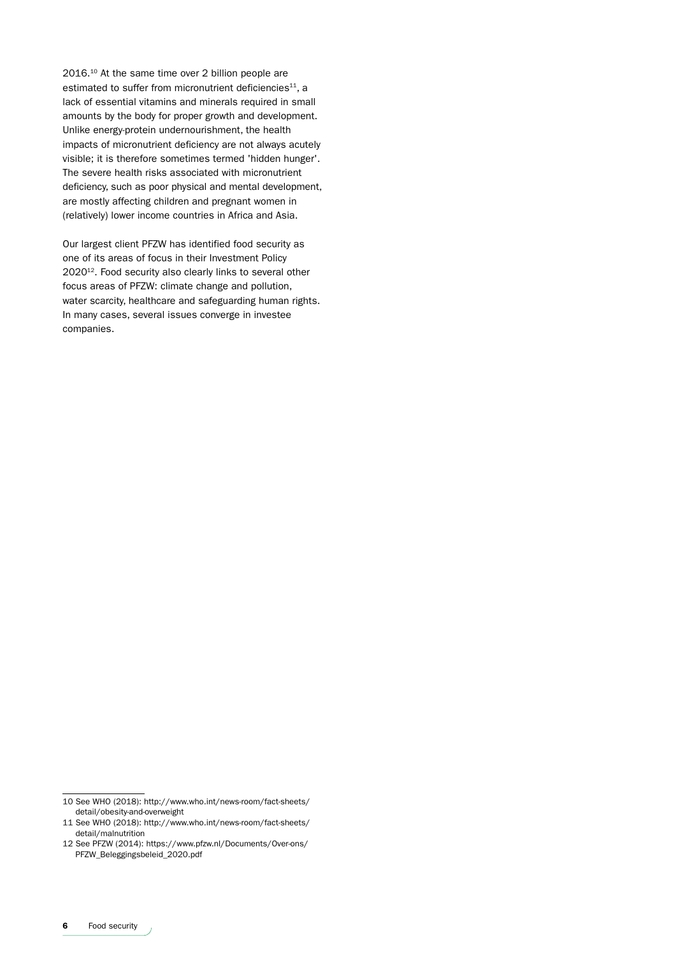2016.10 At the same time over 2 billion people are estimated to suffer from micronutrient deficiencies<sup>11</sup>, a lack of essential vitamins and minerals required in small amounts by the body for proper growth and development. Unlike energy-protein undernourishment, the health impacts of micronutrient deficiency are not always acutely visible; it is therefore sometimes termed 'hidden hunger'. The severe health risks associated with micronutrient deficiency, such as poor physical and mental development, are mostly affecting children and pregnant women in (relatively) lower income countries in Africa and Asia.

Our largest client PFZW has identified food security as one of its areas of focus in their Investment Policy 2020<sup>12</sup>. Food security also clearly links to several other focus areas of PFZW: climate change and pollution, water scarcity, healthcare and safeguarding human rights. In many cases, several issues converge in investee companies.

<sup>10</sup> See WHO (2018): http://www.who.int/news-room/fact-sheets/ detail/obesity-and-overweight

<sup>11</sup> See WHO (2018): http://www.who.int/news-room/fact-sheets/ detail/malnutrition

<sup>12</sup> See PFZW (2014): https://www.pfzw.nl/Documents/Over-ons/ PFZW\_Beleggingsbeleid\_2020.pdf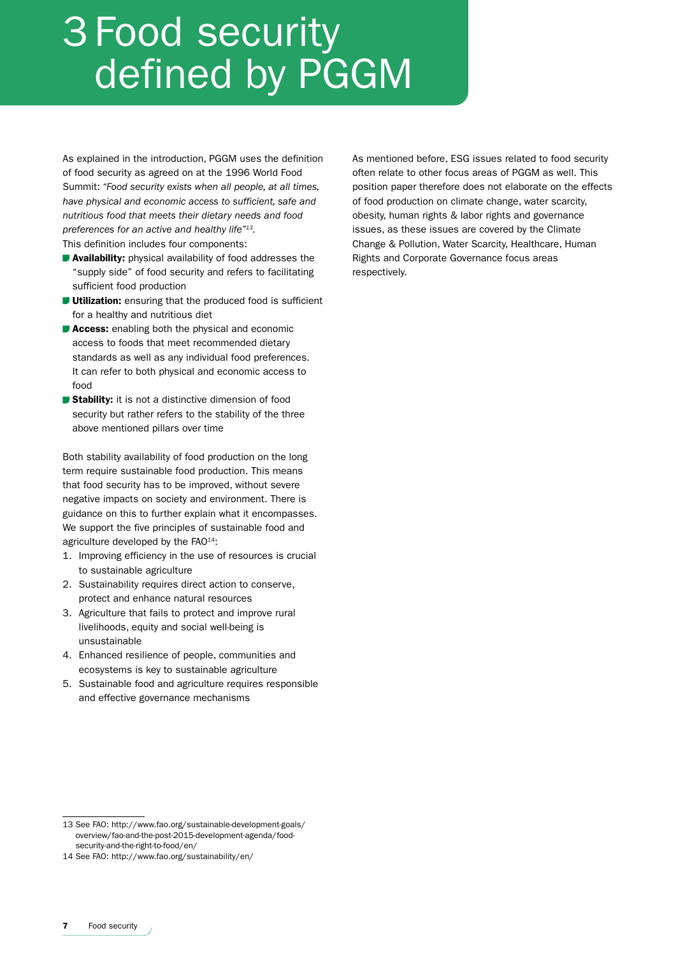## 3 Food security defined by PGGM

As explained in the introduction, PGGM uses the definition of food security as agreed on at the 1996 World Food Summit: *"Food security exists when all people, at all times, have physical and economic access to sufficient, safe and nutritious food that meets their dietary needs and food preferences for an active and healthy life"13.* 

This definition includes four components:

- **Availability:** physical availability of food addresses the "supply side" of food security and refers to facilitating sufficient food production
- **Utilization:** ensuring that the produced food is sufficient for a healthy and nutritious diet
- **Access:** enabling both the physical and economic access to foods that meet recommended dietary standards as well as any individual food preferences. It can refer to both physical and economic access to food
- **Stability:** it is not a distinctive dimension of food security but rather refers to the stability of the three above mentioned pillars over time

Both stability availability of food production on the long term require sustainable food production. This means that food security has to be improved, without severe negative impacts on society and environment. There is guidance on this to further explain what it encompasses. We support the five principles of sustainable food and agriculture developed by the FAO<sup>14</sup>:

- 1. Improving efficiency in the use of resources is crucial to sustainable agriculture
- 2. Sustainability requires direct action to conserve, protect and enhance natural resources
- 3. Agriculture that fails to protect and improve rural livelihoods, equity and social well-being is unsustainable
- 4. Enhanced resilience of people, communities and ecosystems is key to sustainable agriculture
- 5. Sustainable food and agriculture requires responsible and effective governance mechanisms

As mentioned before, ESG issues related to food security often relate to other focus areas of PGGM as well. This position paper therefore does not elaborate on the effects of food production on climate change, water scarcity, obesity, human rights & labor rights and governance issues, as these issues are covered by the Climate Change & Pollution, Water Scarcity, Healthcare, Human Rights and Corporate Governance focus areas respectively.

<sup>13</sup> See FAO: http://www.fao.org/sustainable-development-goals/ overview/fao-and-the-post-2015-development-agenda/foodsecurity-and-the-right-to-food/en/

<sup>14</sup> See FAO: http://www.fao.org/sustainability/en/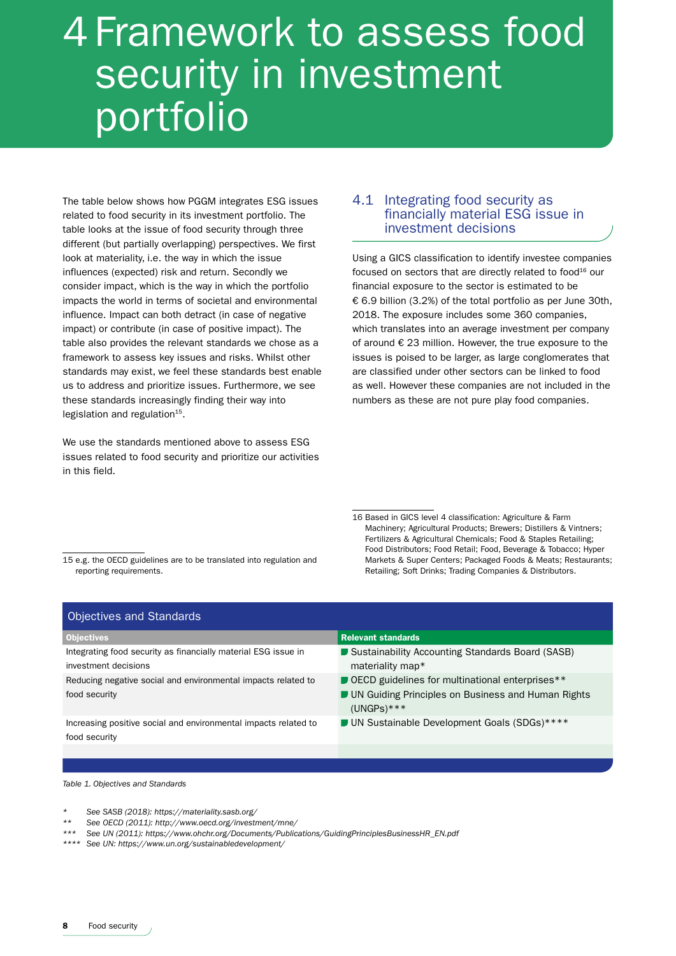### 4 Framework to assess food security in investment portfolio

The table below shows how PGGM integrates ESG issues related to food security in its investment portfolio. The table looks at the issue of food security through three different (but partially overlapping) perspectives. We first look at materiality, i.e. the way in which the issue influences (expected) risk and return. Secondly we consider impact, which is the way in which the portfolio impacts the world in terms of societal and environmental influence. Impact can both detract (in case of negative impact) or contribute (in case of positive impact). The table also provides the relevant standards we chose as a framework to assess key issues and risks. Whilst other standards may exist, we feel these standards best enable us to address and prioritize issues. Furthermore, we see these standards increasingly finding their way into legislation and regulation $15$ .

We use the standards mentioned above to assess ESG issues related to food security and prioritize our activities in this field.

### 4.1 Integrating food security as financially material ESG issue in investment decisions

Using a GICS classification to identify investee companies focused on sectors that are directly related to food<sup>16</sup> our financial exposure to the sector is estimated to be € 6.9 billion (3.2%) of the total portfolio as per June 30th, 2018. The exposure includes some 360 companies, which translates into an average investment per company of around € 23 million. However, the true exposure to the issues is poised to be larger, as large conglomerates that are classified under other sectors can be linked to food as well. However these companies are not included in the numbers as these are not pure play food companies.

15 e.g. the OECD guidelines are to be translated into regulation and reporting requirements.

16 Based in GICS level 4 classification: Agriculture & Farm Machinery; Agricultural Products; Brewers; Distillers & Vintners; Fertilizers & Agricultural Chemicals; Food & Staples Retailing; Food Distributors; Food Retail; Food, Beverage & Tobacco; Hyper Markets & Super Centers; Packaged Foods & Meats; Restaurants; Retailing; Soft Drinks; Trading Companies & Distributors.

| Objectives and Standards                                                               |                                                                                                                         |  |  |
|----------------------------------------------------------------------------------------|-------------------------------------------------------------------------------------------------------------------------|--|--|
| <b>Objectives</b>                                                                      | <b>Relevant standards</b>                                                                                               |  |  |
| Integrating food security as financially material ESG issue in<br>investment decisions | Sustainability Accounting Standards Board (SASB)<br>materiality map*                                                    |  |  |
| Reducing negative social and environmental impacts related to<br>food security         | OECD guidelines for multinational enterprises**<br>■ UN Guiding Principles on Business and Human Rights<br>$(UNGPS)***$ |  |  |
| Increasing positive social and environmental impacts related to<br>food security       | UN Sustainable Development Goals (SDGs)****                                                                             |  |  |

*Table 1. Objectives and Standards*

- *\* See SASB (2018): https://materiality.sasb.org/*
- *\*\* See OECD (2011): http://www.oecd.org/investment/mne/*
- *\*\*\* See UN (2011): https://www.ohchr.org/Documents/Publications/GuidingPrinciplesBusinessHR\_EN.pdf*
- *\*\*\*\* See UN: https://www.un.org/sustainabledevelopment/*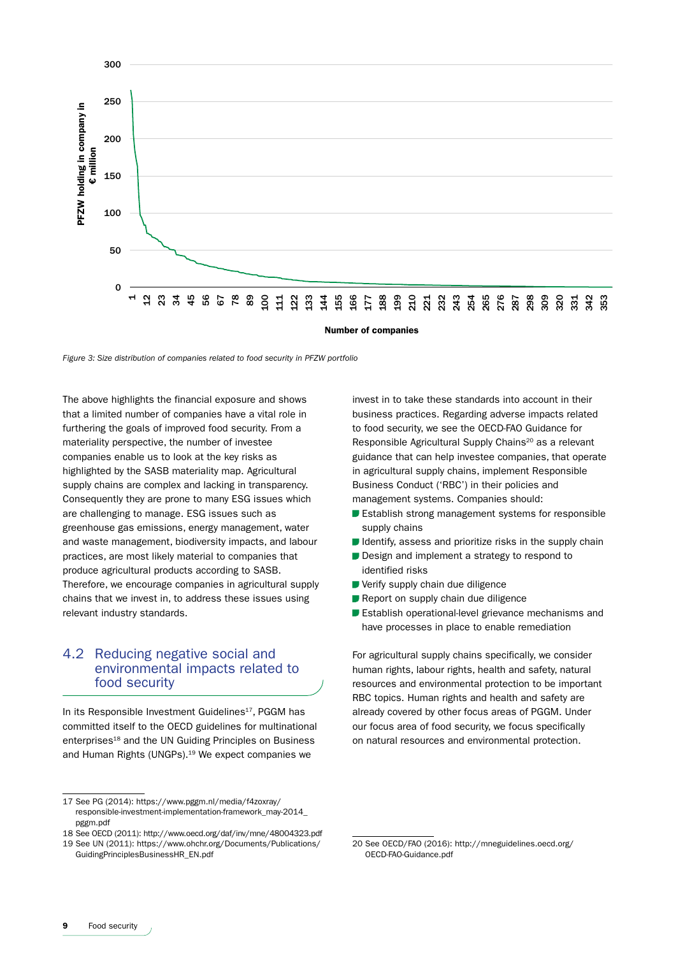

*Figure 3: Size distribution of companies related to food security in PFZW portfolio*

The above highlights the financial exposure and shows that a limited number of companies have a vital role in furthering the goals of improved food security. From a materiality perspective, the number of investee companies enable us to look at the key risks as highlighted by the SASB materiality map. Agricultural supply chains are complex and lacking in transparency. Consequently they are prone to many ESG issues which are challenging to manage. ESG issues such as greenhouse gas emissions, energy management, water and waste management, biodiversity impacts, and labour practices, are most likely material to companies that produce agricultural products according to SASB. Therefore, we encourage companies in agricultural supply chains that we invest in, to address these issues using relevant industry standards.

### 4.2 Reducing negative social and environmental impacts related to food security

In its Responsible Investment Guidelines<sup>17</sup>, PGGM has committed itself to the OECD guidelines for multinational enterprises<sup>18</sup> and the UN Guiding Principles on Business and Human Rights (UNGPs).19 We expect companies we

invest in to take these standards into account in their business practices. Regarding adverse impacts related to food security, we see the OECD-FAO Guidance for Responsible Agricultural Supply Chains<sup>20</sup> as a relevant guidance that can help investee companies, that operate in agricultural supply chains, implement Responsible Business Conduct ('RBC') in their policies and management systems. Companies should:

- **Establish strong management systems for responsible** supply chains
- $\blacksquare$  Identify, assess and prioritize risks in the supply chain
- Design and implement a strategy to respond to identified risks
- Verify supply chain due diligence
- Report on supply chain due diligence
- **Establish operational-level grievance mechanisms and** have processes in place to enable remediation

For agricultural supply chains specifically, we consider human rights, labour rights, health and safety, natural resources and environmental protection to be important RBC topics. Human rights and health and safety are already covered by other focus areas of PGGM. Under our focus area of food security, we focus specifically on natural resources and environmental protection.

<sup>17</sup> See PG (2014): https://www.pggm.nl/media/f4zoxray/ responsible-investment-implementation-framework\_may-2014\_ pggm.pdf

<sup>18</sup> See OECD (2011): http://www.oecd.org/daf/inv/mne/48004323.pdf

<sup>19</sup> See UN (2011): https://www.ohchr.org/Documents/Publications/ GuidingPrinciplesBusinessHR\_EN.pdf

<sup>20</sup> See OECD/FAO (2016): http://mneguidelines.oecd.org/ OECD-FAO-Guidance.pdf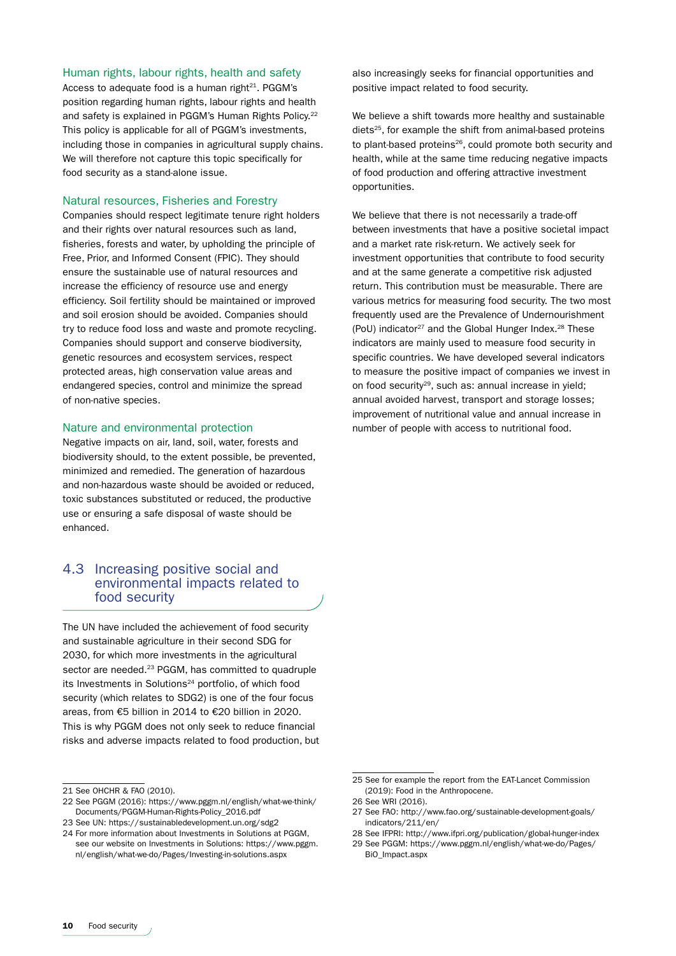#### Human rights, labour rights, health and safety

Access to adequate food is a human right $21$ . PGGM's position regarding human rights, labour rights and health and safety is explained in PGGM's Human Rights Policy.<sup>22</sup> This policy is applicable for all of PGGM's investments, including those in companies in agricultural supply chains. We will therefore not capture this topic specifically for food security as a stand-alone issue.

#### Natural resources, Fisheries and Forestry

Companies should respect legitimate tenure right holders and their rights over natural resources such as land, fisheries, forests and water, by upholding the principle of Free, Prior, and Informed Consent (FPIC). They should ensure the sustainable use of natural resources and increase the efficiency of resource use and energy efficiency. Soil fertility should be maintained or improved and soil erosion should be avoided. Companies should try to reduce food loss and waste and promote recycling. Companies should support and conserve biodiversity, genetic resources and ecosystem services, respect protected areas, high conservation value areas and endangered species, control and minimize the spread of non-native species.

### Nature and environmental protection

Negative impacts on air, land, soil, water, forests and biodiversity should, to the extent possible, be prevented, minimized and remedied. The generation of hazardous and non-hazardous waste should be avoided or reduced, toxic substances substituted or reduced, the productive use or ensuring a safe disposal of waste should be enhanced.

### 4.3 Increasing positive social and environmental impacts related to food security

The UN have included the achievement of food security and sustainable agriculture in their second SDG for 2030, for which more investments in the agricultural sector are needed.<sup>23</sup> PGGM, has committed to quadruple its Investments in Solutions<sup>24</sup> portfolio, of which food security (which relates to SDG2) is one of the four focus areas, from €5 billion in 2014 to €20 billion in 2020. This is why PGGM does not only seek to reduce financial risks and adverse impacts related to food production, but also increasingly seeks for financial opportunities and positive impact related to food security.

We believe a shift towards more healthy and sustainable diets<sup>25</sup>, for example the shift from animal-based proteins to plant-based proteins<sup>26</sup>, could promote both security and health, while at the same time reducing negative impacts of food production and offering attractive investment opportunities.

We believe that there is not necessarily a trade-off between investments that have a positive societal impact and a market rate risk-return. We actively seek for investment opportunities that contribute to food security and at the same generate a competitive risk adjusted return. This contribution must be measurable. There are various metrics for measuring food security. The two most frequently used are the Prevalence of Undernourishment (PoU) indicator<sup>27</sup> and the Global Hunger Index.<sup>28</sup> These indicators are mainly used to measure food security in specific countries. We have developed several indicators to measure the positive impact of companies we invest in on food security29, such as: annual increase in yield; annual avoided harvest, transport and storage losses; improvement of nutritional value and annual increase in number of people with access to nutritional food.

<sup>21</sup> See OHCHR & FAO (2010).

<sup>22</sup> See PGGM (2016): https://www.pggm.nl/english/what-we-think/ Documents/PGGM-Human-Rights-Policy\_2016.pdf

<sup>23</sup> See UN: https://sustainabledevelopment.un.org/sdg2

<sup>24</sup> For more information about Investments in Solutions at PGGM, see our website on Investments in Solutions: https://www.pggm. nl/english/what-we-do/Pages/Investing-in-solutions.aspx

<sup>25</sup> See for example the report from the EAT-Lancet Commission (2019): Food in the Anthropocene.

<sup>26</sup> See WRI (2016).

<sup>27</sup> See FAO: http://www.fao.org/sustainable-development-goals/ indicators/211/en/

<sup>28</sup> See IFPRI: http://www.ifpri.org/publication/global-hunger-index 29 See PGGM: https://www.pggm.nl/english/what-we-do/Pages/

BiO\_Impact.aspx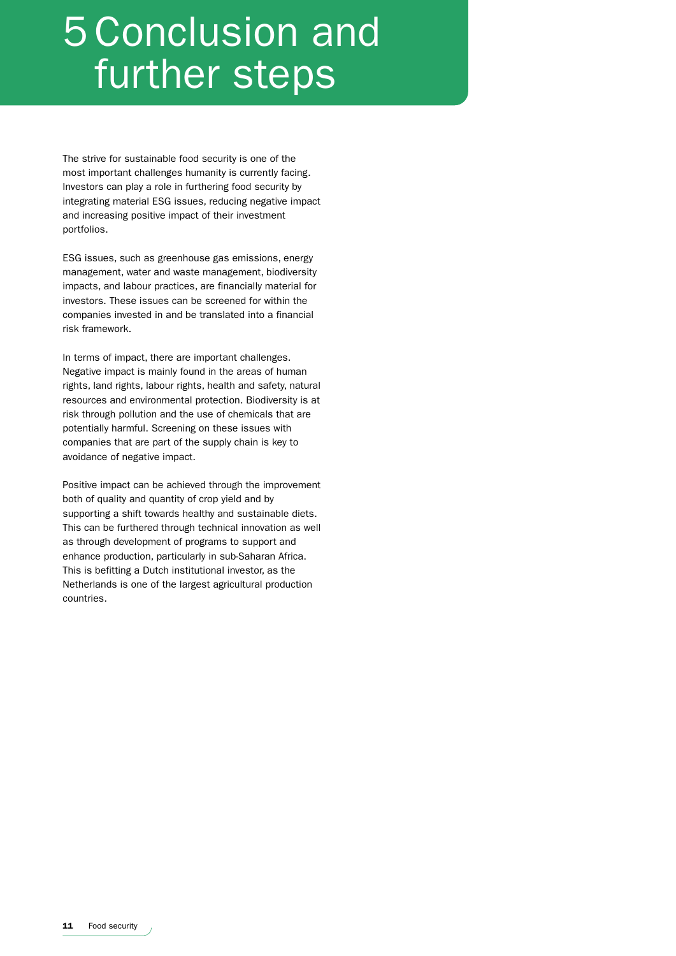## 5 Conclusion and further steps

The strive for sustainable food security is one of the most important challenges humanity is currently facing. Investors can play a role in furthering food security by integrating material ESG issues, reducing negative impact and increasing positive impact of their investment portfolios.

ESG issues, such as greenhouse gas emissions, energy management, water and waste management, biodiversity impacts, and labour practices, are financially material for investors. These issues can be screened for within the companies invested in and be translated into a financial risk framework.

In terms of impact, there are important challenges. Negative impact is mainly found in the areas of human rights, land rights, labour rights, health and safety, natural resources and environmental protection. Biodiversity is at risk through pollution and the use of chemicals that are potentially harmful. Screening on these issues with companies that are part of the supply chain is key to avoidance of negative impact.

Positive impact can be achieved through the improvement both of quality and quantity of crop yield and by supporting a shift towards healthy and sustainable diets. This can be furthered through technical innovation as well as through development of programs to support and enhance production, particularly in sub-Saharan Africa. This is befitting a Dutch institutional investor, as the Netherlands is one of the largest agricultural production countries.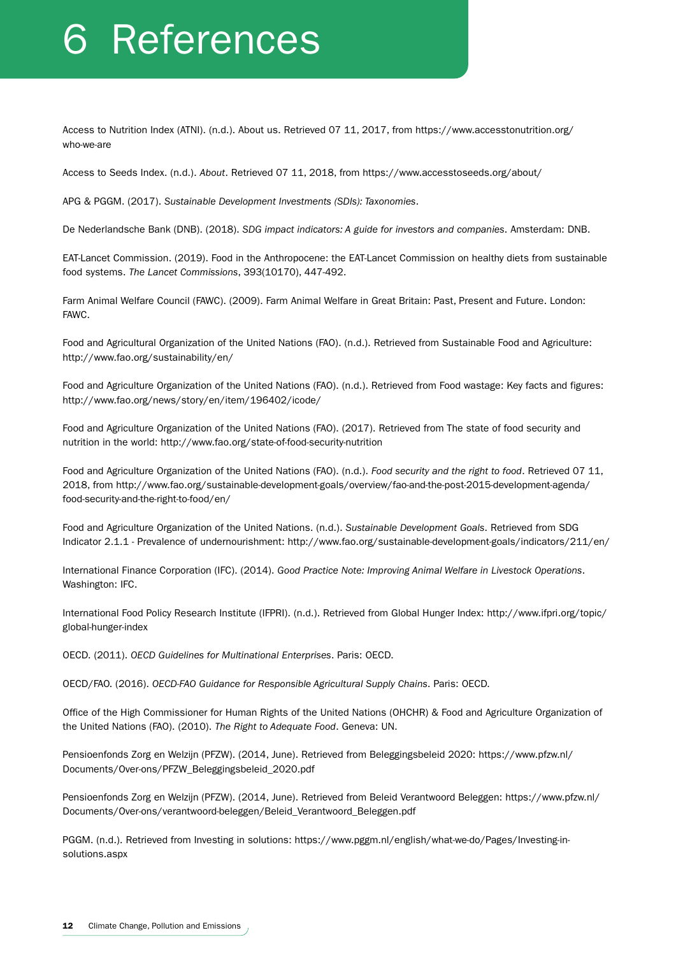## 6 References

Access to Nutrition Index (ATNI). (n.d.). About us. Retrieved 07 11, 2017, from https://www.accesstonutrition.org/ who-we-are

Access to Seeds Index. (n.d.). *About*. Retrieved 07 11, 2018, from https://www.accesstoseeds.org/about/

APG & PGGM. (2017). *Sustainable Development Investments (SDIs): Taxonomies*.

De Nederlandsche Bank (DNB). (2018). *SDG impact indicators: A guide for investors and companies*. Amsterdam: DNB.

EAT-Lancet Commission. (2019). Food in the Anthropocene: the EAT-Lancet Commission on healthy diets from sustainable food systems. *The Lancet Commissions*, 393(10170), 447-492.

Farm Animal Welfare Council (FAWC). (2009). Farm Animal Welfare in Great Britain: Past, Present and Future. London: FAWC.

Food and Agricultural Organization of the United Nations (FAO). (n.d.). Retrieved from Sustainable Food and Agriculture: http://www.fao.org/sustainability/en/

Food and Agriculture Organization of the United Nations (FAO). (n.d.). Retrieved from Food wastage: Key facts and figures: http://www.fao.org/news/story/en/item/196402/icode/

Food and Agriculture Organization of the United Nations (FAO). (2017). Retrieved from The state of food security and nutrition in the world: http://www.fao.org/state-of-food-security-nutrition

Food and Agriculture Organization of the United Nations (FAO). (n.d.). *Food security and the right to food*. Retrieved 07 11, 2018, from http://www.fao.org/sustainable-development-goals/overview/fao-and-the-post-2015-development-agenda/ food-security-and-the-right-to-food/en/

Food and Agriculture Organization of the United Nations. (n.d.). *Sustainable Development Goals*. Retrieved from SDG Indicator 2.1.1 - Prevalence of undernourishment: http://www.fao.org/sustainable-development-goals/indicators/211/en/

International Finance Corporation (IFC). (2014). *Good Practice Note: Improving Animal Welfare in Livestock Operations*. Washington: IFC.

International Food Policy Research Institute (IFPRI). (n.d.). Retrieved from Global Hunger Index: http://www.ifpri.org/topic/ global-hunger-index

OECD. (2011). *OECD Guidelines for Multinational Enterprises*. Paris: OECD.

OECD/FAO. (2016). *OECD-FAO Guidance for Responsible Agricultural Supply Chains*. Paris: OECD.

Office of the High Commissioner for Human Rights of the United Nations (OHCHR) & Food and Agriculture Organization of the United Nations (FAO). (2010). *The Right to Adequate Food*. Geneva: UN.

Pensioenfonds Zorg en Welzijn (PFZW). (2014, June). Retrieved from Beleggingsbeleid 2020: https://www.pfzw.nl/ Documents/Over-ons/PFZW\_Beleggingsbeleid\_2020.pdf

Pensioenfonds Zorg en Welzijn (PFZW). (2014, June). Retrieved from Beleid Verantwoord Beleggen: https://www.pfzw.nl/ Documents/Over-ons/verantwoord-beleggen/Beleid\_Verantwoord\_Beleggen.pdf

PGGM. (n.d.). Retrieved from Investing in solutions: https://www.pggm.nl/english/what-we-do/Pages/Investing-insolutions.aspx